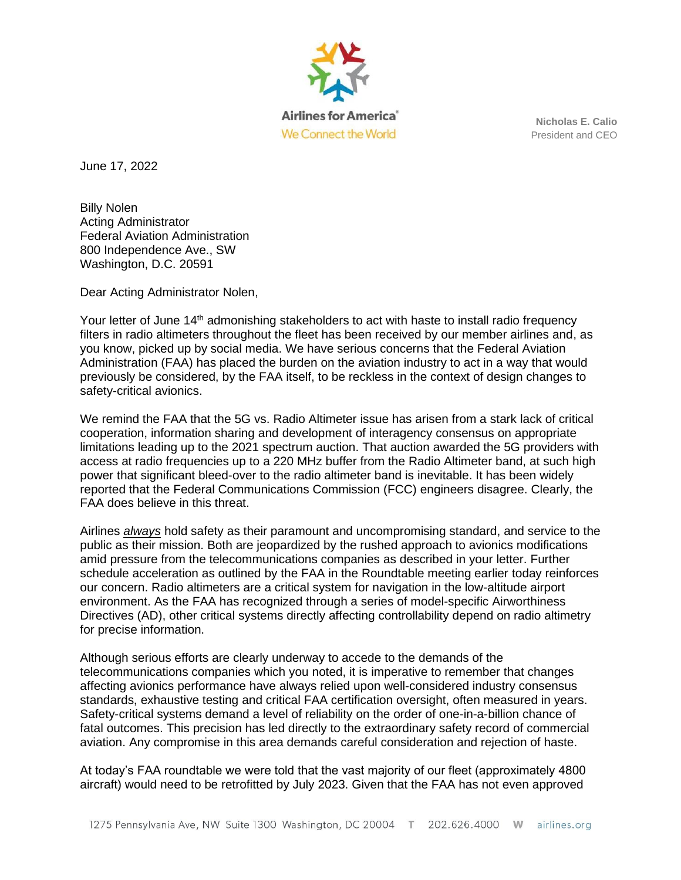

**Nicholas E. Calio** President and CEO

June 17, 2022

Billy Nolen Acting Administrator Federal Aviation Administration 800 Independence Ave., SW Washington, D.C. 20591

Dear Acting Administrator Nolen,

Your letter of June 14<sup>th</sup> admonishing stakeholders to act with haste to install radio frequency filters in radio altimeters throughout the fleet has been received by our member airlines and, as you know, picked up by social media. We have serious concerns that the Federal Aviation Administration (FAA) has placed the burden on the aviation industry to act in a way that would previously be considered, by the FAA itself, to be reckless in the context of design changes to safety-critical avionics.

We remind the FAA that the 5G vs. Radio Altimeter issue has arisen from a stark lack of critical cooperation, information sharing and development of interagency consensus on appropriate limitations leading up to the 2021 spectrum auction. That auction awarded the 5G providers with access at radio frequencies up to a 220 MHz buffer from the Radio Altimeter band, at such high power that significant bleed-over to the radio altimeter band is inevitable. It has been widely reported that the Federal Communications Commission (FCC) engineers disagree. Clearly, the FAA does believe in this threat.

Airlines *always* hold safety as their paramount and uncompromising standard, and service to the public as their mission. Both are jeopardized by the rushed approach to avionics modifications amid pressure from the telecommunications companies as described in your letter. Further schedule acceleration as outlined by the FAA in the Roundtable meeting earlier today reinforces our concern. Radio altimeters are a critical system for navigation in the low-altitude airport environment. As the FAA has recognized through a series of model-specific Airworthiness Directives (AD), other critical systems directly affecting controllability depend on radio altimetry for precise information.

Although serious efforts are clearly underway to accede to the demands of the telecommunications companies which you noted, it is imperative to remember that changes affecting avionics performance have always relied upon well-considered industry consensus standards, exhaustive testing and critical FAA certification oversight, often measured in years. Safety-critical systems demand a level of reliability on the order of one-in-a-billion chance of fatal outcomes. This precision has led directly to the extraordinary safety record of commercial aviation. Any compromise in this area demands careful consideration and rejection of haste.

At today's FAA roundtable we were told that the vast majority of our fleet (approximately 4800 aircraft) would need to be retrofitted by July 2023. Given that the FAA has not even approved